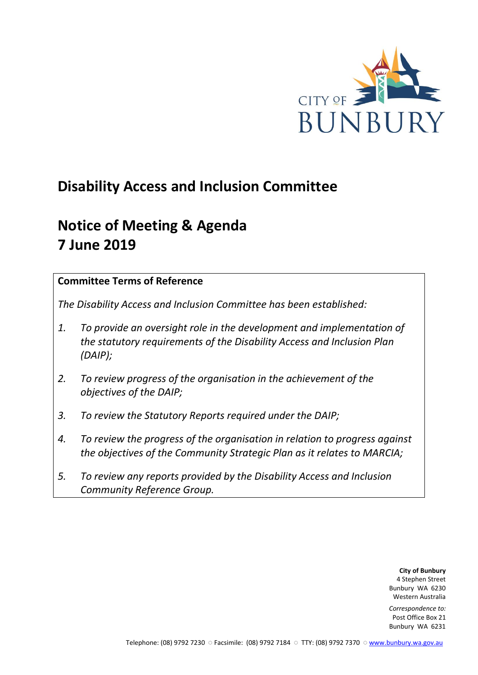

# **Disability Access and Inclusion Committee**

# **Notice of Meeting & Agenda 7 June 2019**

## **Committee Terms of Reference**

*The Disability Access and Inclusion Committee has been established:* 

- *1. To provide an oversight role in the development and implementation of the statutory requirements of the Disability Access and Inclusion Plan (DAIP);*
- *2. To review progress of the organisation in the achievement of the objectives of the DAIP;*
- *3. To review the Statutory Reports required under the DAIP;*
- *4. To review the progress of the organisation in relation to progress against the objectives of the Community Strategic Plan as it relates to MARCIA;*
- *5. To review any reports provided by the Disability Access and Inclusion Community Reference Group.*

**City of Bunbury** 4 Stephen Street Bunbury WA 6230 Western Australia

*Correspondence to:* Post Office Box 21 Bunbury WA 6231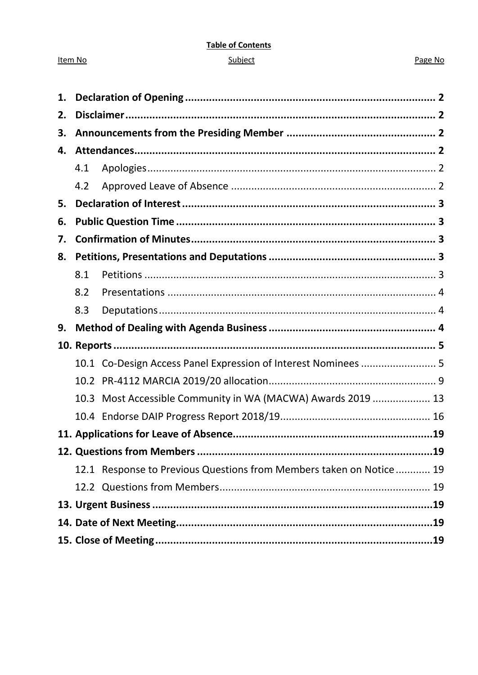#### **Table of Contents**

#### Subject

#### Page No

| 1. |      |                                                                     |  |  |
|----|------|---------------------------------------------------------------------|--|--|
| 2. |      |                                                                     |  |  |
| 3. |      |                                                                     |  |  |
| 4. |      |                                                                     |  |  |
|    | 4.1  |                                                                     |  |  |
|    | 4.2  |                                                                     |  |  |
| 5. |      |                                                                     |  |  |
| 6. |      |                                                                     |  |  |
| 7. |      |                                                                     |  |  |
| 8. |      |                                                                     |  |  |
|    | 8.1  |                                                                     |  |  |
|    | 8.2  |                                                                     |  |  |
|    | 8.3  |                                                                     |  |  |
|    |      |                                                                     |  |  |
| 9. |      |                                                                     |  |  |
|    |      |                                                                     |  |  |
|    |      | 10.1 Co-Design Access Panel Expression of Interest Nominees  5      |  |  |
|    | 10.2 |                                                                     |  |  |
|    | 10.3 | Most Accessible Community in WA (MACWA) Awards 2019  13             |  |  |
|    |      |                                                                     |  |  |
|    |      |                                                                     |  |  |
|    |      |                                                                     |  |  |
|    |      | 12.1 Response to Previous Questions from Members taken on Notice 19 |  |  |
|    |      |                                                                     |  |  |
|    |      |                                                                     |  |  |
|    |      |                                                                     |  |  |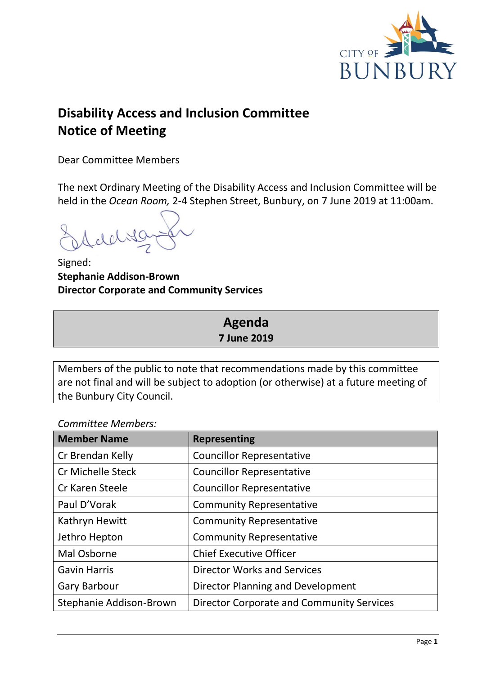

# **Disability Access and Inclusion Committee Notice of Meeting**

Dear Committee Members

The next Ordinary Meeting of the Disability Access and Inclusion Committee will be held in the *Ocean Room,* 2-4 Stephen Street, Bunbury, on 7 June 2019 at 11:00am.

Signed: **Stephanie Addison-Brown Director Corporate and Community Services**

# **Agenda 7 June 2019**

Members of the public to note that recommendations made by this committee are not final and will be subject to adoption (or otherwise) at a future meeting of the Bunbury City Council.

*Committee Members:*

| <b>Member Name</b>      | <b>Representing</b>                              |
|-------------------------|--------------------------------------------------|
| Cr Brendan Kelly        | <b>Councillor Representative</b>                 |
| Cr Michelle Steck       | <b>Councillor Representative</b>                 |
| Cr Karen Steele         | <b>Councillor Representative</b>                 |
| Paul D'Vorak            | <b>Community Representative</b>                  |
| Kathryn Hewitt          | <b>Community Representative</b>                  |
| Jethro Hepton           | <b>Community Representative</b>                  |
| Mal Osborne             | <b>Chief Executive Officer</b>                   |
| <b>Gavin Harris</b>     | <b>Director Works and Services</b>               |
| <b>Gary Barbour</b>     | Director Planning and Development                |
| Stephanie Addison-Brown | <b>Director Corporate and Community Services</b> |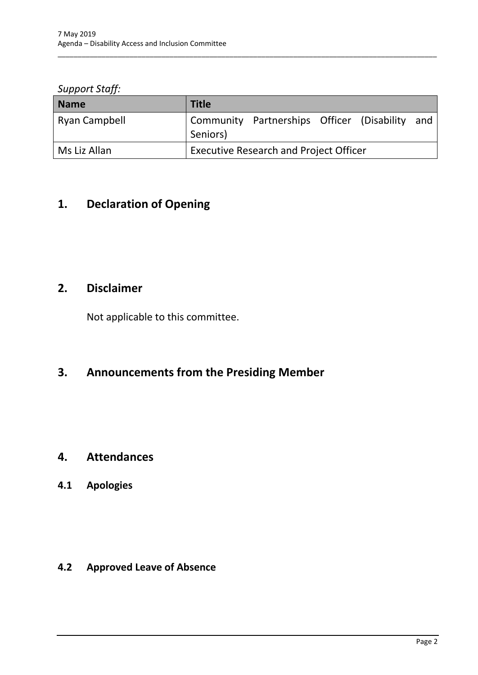*Support Staff:*

| <b>Name</b>   | <b>Title</b>                                                  |  |
|---------------|---------------------------------------------------------------|--|
| Ryan Campbell | Community Partnerships Officer (Disability<br>and<br>Seniors) |  |
| Ms Liz Allan  | <b>Executive Research and Project Officer</b>                 |  |

\_\_\_\_\_\_\_\_\_\_\_\_\_\_\_\_\_\_\_\_\_\_\_\_\_\_\_\_\_\_\_\_\_\_\_\_\_\_\_\_\_\_\_\_\_\_\_\_\_\_\_\_\_\_\_\_\_\_\_\_\_\_\_\_\_\_\_\_\_\_\_\_\_\_\_\_\_\_\_\_\_\_\_\_\_\_\_\_\_\_\_\_\_\_\_

# <span id="page-3-0"></span>**1. Declaration of Opening**

# <span id="page-3-1"></span>**2. Disclaimer**

Not applicable to this committee.

# <span id="page-3-2"></span>**3. Announcements from the Presiding Member**

# <span id="page-3-3"></span>**4. Attendances**

# <span id="page-3-4"></span>**4.1 Apologies**

# <span id="page-3-5"></span>**4.2 Approved Leave of Absence**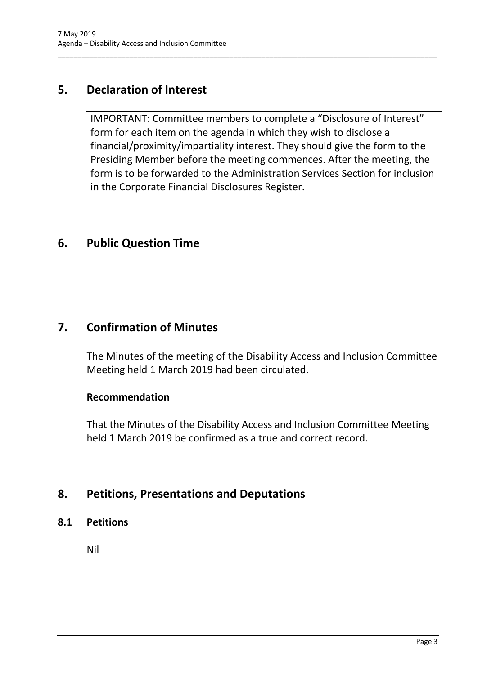# <span id="page-4-0"></span>**5. Declaration of Interest**

IMPORTANT: Committee members to complete a "Disclosure of Interest" form for each item on the agenda in which they wish to disclose a financial/proximity/impartiality interest. They should give the form to the Presiding Member before the meeting commences. After the meeting, the form is to be forwarded to the Administration Services Section for inclusion in the Corporate Financial Disclosures Register.

\_\_\_\_\_\_\_\_\_\_\_\_\_\_\_\_\_\_\_\_\_\_\_\_\_\_\_\_\_\_\_\_\_\_\_\_\_\_\_\_\_\_\_\_\_\_\_\_\_\_\_\_\_\_\_\_\_\_\_\_\_\_\_\_\_\_\_\_\_\_\_\_\_\_\_\_\_\_\_\_\_\_\_\_\_\_\_\_\_\_\_\_\_\_\_

# <span id="page-4-1"></span>**6. Public Question Time**

# <span id="page-4-2"></span>**7. Confirmation of Minutes**

The Minutes of the meeting of the Disability Access and Inclusion Committee Meeting held 1 March 2019 had been circulated.

#### **Recommendation**

That the Minutes of the Disability Access and Inclusion Committee Meeting held 1 March 2019 be confirmed as a true and correct record.

# <span id="page-4-3"></span>**8. Petitions, Presentations and Deputations**

<span id="page-4-4"></span>**8.1 Petitions**

Nil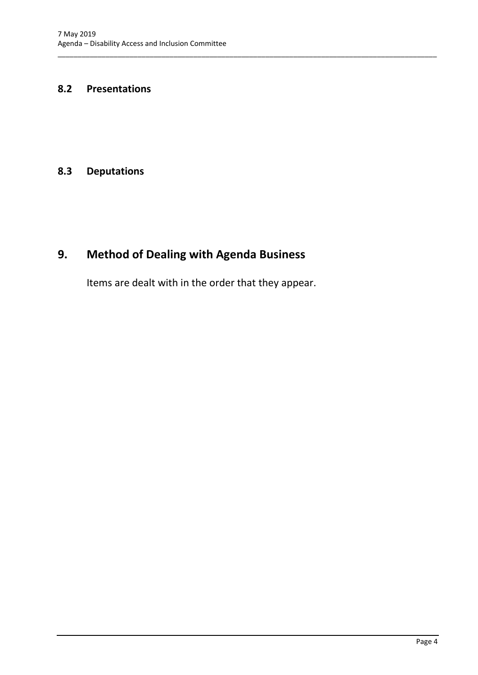#### <span id="page-5-0"></span>**8.2 Presentations**

## <span id="page-5-1"></span>**8.3 Deputations**

# <span id="page-5-2"></span>**9. Method of Dealing with Agenda Business**

Items are dealt with in the order that they appear.

\_\_\_\_\_\_\_\_\_\_\_\_\_\_\_\_\_\_\_\_\_\_\_\_\_\_\_\_\_\_\_\_\_\_\_\_\_\_\_\_\_\_\_\_\_\_\_\_\_\_\_\_\_\_\_\_\_\_\_\_\_\_\_\_\_\_\_\_\_\_\_\_\_\_\_\_\_\_\_\_\_\_\_\_\_\_\_\_\_\_\_\_\_\_\_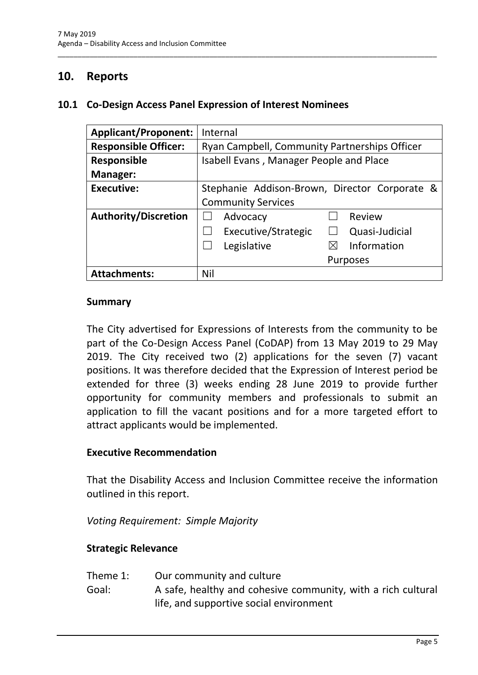# <span id="page-6-0"></span>**10. Reports**

#### <span id="page-6-1"></span>**10.1 Co-Design Access Panel Expression of Interest Nominees**

| <b>Applicant/Proponent:</b> | Internal                                      |  |  |
|-----------------------------|-----------------------------------------------|--|--|
| <b>Responsible Officer:</b> | Ryan Campbell, Community Partnerships Officer |  |  |
| <b>Responsible</b>          | Isabell Evans, Manager People and Place       |  |  |
| <b>Manager:</b>             |                                               |  |  |
| <b>Executive:</b>           | Stephanie Addison-Brown, Director Corporate & |  |  |
|                             | <b>Community Services</b>                     |  |  |
| <b>Authority/Discretion</b> | Review<br>Advocacy                            |  |  |
|                             | Executive/Strategic<br>Quasi-Judicial         |  |  |
|                             | Information<br>Legislative<br>$\boxtimes$     |  |  |
|                             | <b>Purposes</b>                               |  |  |
| <b>Attachments:</b>         | Nil                                           |  |  |

\_\_\_\_\_\_\_\_\_\_\_\_\_\_\_\_\_\_\_\_\_\_\_\_\_\_\_\_\_\_\_\_\_\_\_\_\_\_\_\_\_\_\_\_\_\_\_\_\_\_\_\_\_\_\_\_\_\_\_\_\_\_\_\_\_\_\_\_\_\_\_\_\_\_\_\_\_\_\_\_\_\_\_\_\_\_\_\_\_\_\_\_\_\_\_

#### **Summary**

The City advertised for Expressions of Interests from the community to be part of the Co-Design Access Panel (CoDAP) from 13 May 2019 to 29 May 2019. The City received two (2) applications for the seven (7) vacant positions. It was therefore decided that the Expression of Interest period be extended for three (3) weeks ending 28 June 2019 to provide further opportunity for community members and professionals to submit an application to fill the vacant positions and for a more targeted effort to attract applicants would be implemented.

#### **Executive Recommendation**

That the Disability Access and Inclusion Committee receive the information outlined in this report.

*Voting Requirement: Simple Majority*

#### **Strategic Relevance**

- Theme 1: Our community and culture
- Goal: A safe, healthy and cohesive community, with a rich cultural life, and supportive social environment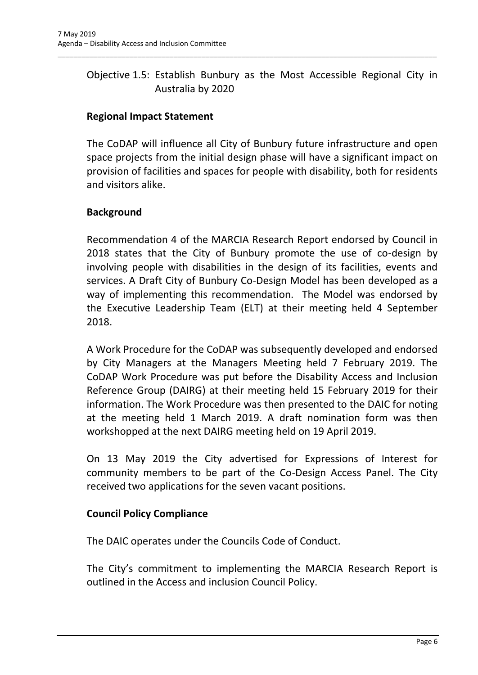# Objective 1.5: Establish Bunbury as the Most Accessible Regional City in Australia by 2020

\_\_\_\_\_\_\_\_\_\_\_\_\_\_\_\_\_\_\_\_\_\_\_\_\_\_\_\_\_\_\_\_\_\_\_\_\_\_\_\_\_\_\_\_\_\_\_\_\_\_\_\_\_\_\_\_\_\_\_\_\_\_\_\_\_\_\_\_\_\_\_\_\_\_\_\_\_\_\_\_\_\_\_\_\_\_\_\_\_\_\_\_\_\_\_

# **Regional Impact Statement**

The CoDAP will influence all City of Bunbury future infrastructure and open space projects from the initial design phase will have a significant impact on provision of facilities and spaces for people with disability, both for residents and visitors alike.

## **Background**

Recommendation 4 of the MARCIA Research Report endorsed by Council in 2018 states that the City of Bunbury promote the use of co-design by involving people with disabilities in the design of its facilities, events and services. A Draft City of Bunbury Co-Design Model has been developed as a way of implementing this recommendation. The Model was endorsed by the Executive Leadership Team (ELT) at their meeting held 4 September 2018.

A Work Procedure for the CoDAP was subsequently developed and endorsed by City Managers at the Managers Meeting held 7 February 2019. The CoDAP Work Procedure was put before the Disability Access and Inclusion Reference Group (DAIRG) at their meeting held 15 February 2019 for their information. The Work Procedure was then presented to the DAIC for noting at the meeting held 1 March 2019. A draft nomination form was then workshopped at the next DAIRG meeting held on 19 April 2019.

On 13 May 2019 the City advertised for Expressions of Interest for community members to be part of the Co-Design Access Panel. The City received two applications for the seven vacant positions.

## **Council Policy Compliance**

The DAIC operates under the Councils Code of Conduct.

The City's commitment to implementing the MARCIA Research Report is outlined in the Access and inclusion Council Policy.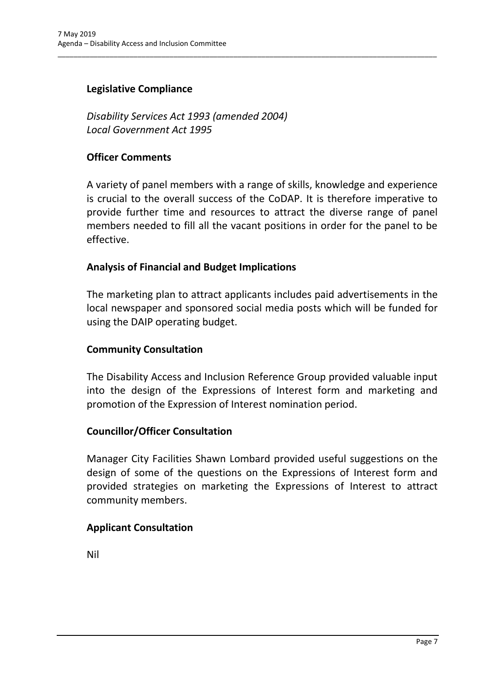## **Legislative Compliance**

*Disability Services Act 1993 (amended 2004) Local Government Act 1995*

#### **Officer Comments**

A variety of panel members with a range of skills, knowledge and experience is crucial to the overall success of the CoDAP. It is therefore imperative to provide further time and resources to attract the diverse range of panel members needed to fill all the vacant positions in order for the panel to be effective.

\_\_\_\_\_\_\_\_\_\_\_\_\_\_\_\_\_\_\_\_\_\_\_\_\_\_\_\_\_\_\_\_\_\_\_\_\_\_\_\_\_\_\_\_\_\_\_\_\_\_\_\_\_\_\_\_\_\_\_\_\_\_\_\_\_\_\_\_\_\_\_\_\_\_\_\_\_\_\_\_\_\_\_\_\_\_\_\_\_\_\_\_\_\_\_

#### **Analysis of Financial and Budget Implications**

The marketing plan to attract applicants includes paid advertisements in the local newspaper and sponsored social media posts which will be funded for using the DAIP operating budget.

#### **Community Consultation**

The Disability Access and Inclusion Reference Group provided valuable input into the design of the Expressions of Interest form and marketing and promotion of the Expression of Interest nomination period.

#### **Councillor/Officer Consultation**

Manager City Facilities Shawn Lombard provided useful suggestions on the design of some of the questions on the Expressions of Interest form and provided strategies on marketing the Expressions of Interest to attract community members.

## **Applicant Consultation**

Nil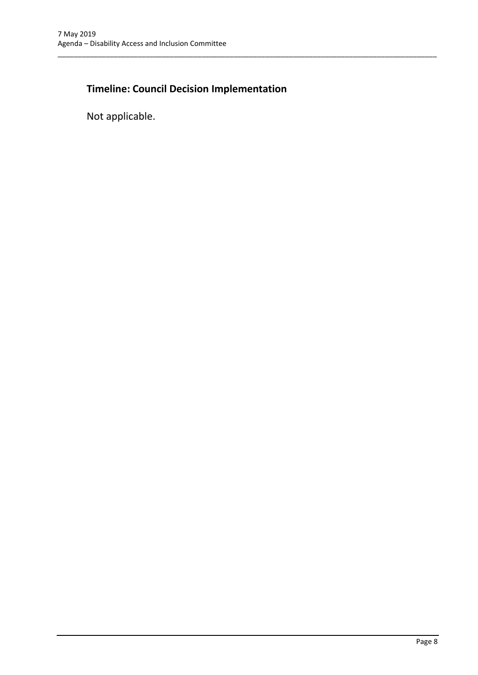# **Timeline: Council Decision Implementation**

\_\_\_\_\_\_\_\_\_\_\_\_\_\_\_\_\_\_\_\_\_\_\_\_\_\_\_\_\_\_\_\_\_\_\_\_\_\_\_\_\_\_\_\_\_\_\_\_\_\_\_\_\_\_\_\_\_\_\_\_\_\_\_\_\_\_\_\_\_\_\_\_\_\_\_\_\_\_\_\_\_\_\_\_\_\_\_\_\_\_\_\_\_\_\_

Not applicable.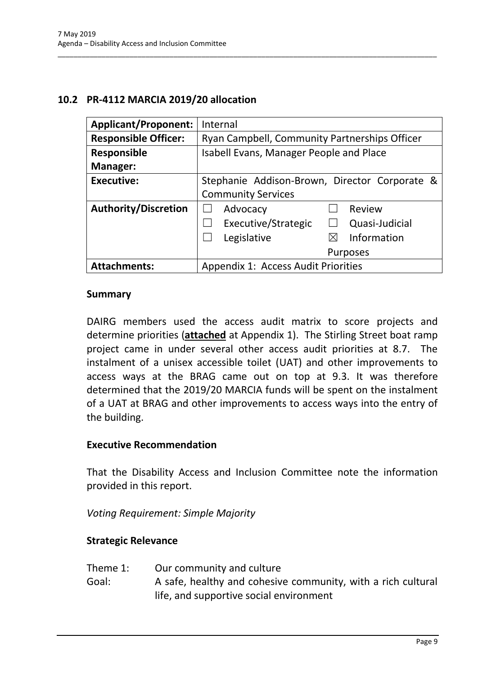## <span id="page-10-0"></span>**10.2 PR-4112 MARCIA 2019/20 allocation**

| <b>Applicant/Proponent:</b> | Internal                                      |
|-----------------------------|-----------------------------------------------|
| <b>Responsible Officer:</b> | Ryan Campbell, Community Partnerships Officer |
| Responsible                 | Isabell Evans, Manager People and Place       |
| <b>Manager:</b>             |                                               |
| <b>Executive:</b>           | Stephanie Addison-Brown, Director Corporate & |
|                             | <b>Community Services</b>                     |
| <b>Authority/Discretion</b> | Advocacy<br>Review                            |
|                             | Executive/Strategic<br>Quasi-Judicial         |
|                             | Information<br>Legislative<br>$\boxtimes$     |
|                             | <b>Purposes</b>                               |
| <b>Attachments:</b>         | Appendix 1: Access Audit Priorities           |

\_\_\_\_\_\_\_\_\_\_\_\_\_\_\_\_\_\_\_\_\_\_\_\_\_\_\_\_\_\_\_\_\_\_\_\_\_\_\_\_\_\_\_\_\_\_\_\_\_\_\_\_\_\_\_\_\_\_\_\_\_\_\_\_\_\_\_\_\_\_\_\_\_\_\_\_\_\_\_\_\_\_\_\_\_\_\_\_\_\_\_\_\_\_\_

#### **Summary**

DAIRG members used the access audit matrix to score projects and determine priorities (**attached** at Appendix 1). The Stirling Street boat ramp project came in under several other access audit priorities at 8.7. The instalment of a unisex accessible toilet (UAT) and other improvements to access ways at the BRAG came out on top at 9.3. It was therefore determined that the 2019/20 MARCIA funds will be spent on the instalment of a UAT at BRAG and other improvements to access ways into the entry of the building.

#### **Executive Recommendation**

That the Disability Access and Inclusion Committee note the information provided in this report.

*Voting Requirement: Simple Majority* 

#### **Strategic Relevance**

- Theme 1: Our community and culture
- Goal: A safe, healthy and cohesive community, with a rich cultural life, and supportive social environment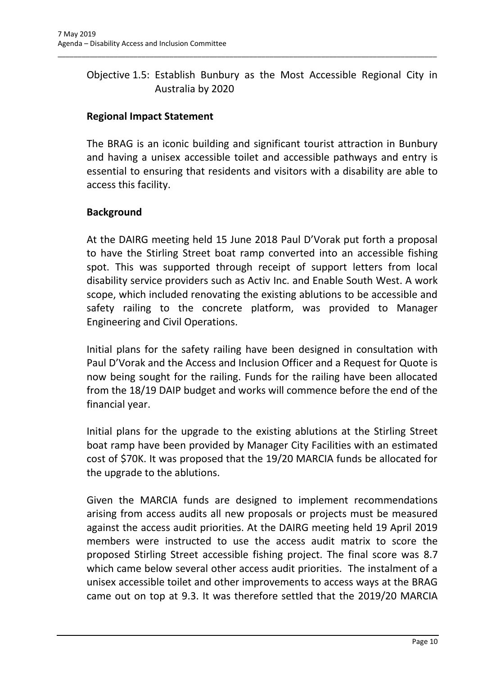# Objective 1.5: Establish Bunbury as the Most Accessible Regional City in Australia by 2020

\_\_\_\_\_\_\_\_\_\_\_\_\_\_\_\_\_\_\_\_\_\_\_\_\_\_\_\_\_\_\_\_\_\_\_\_\_\_\_\_\_\_\_\_\_\_\_\_\_\_\_\_\_\_\_\_\_\_\_\_\_\_\_\_\_\_\_\_\_\_\_\_\_\_\_\_\_\_\_\_\_\_\_\_\_\_\_\_\_\_\_\_\_\_\_

# **Regional Impact Statement**

The BRAG is an iconic building and significant tourist attraction in Bunbury and having a unisex accessible toilet and accessible pathways and entry is essential to ensuring that residents and visitors with a disability are able to access this facility.

## **Background**

At the DAIRG meeting held 15 June 2018 Paul D'Vorak put forth a proposal to have the Stirling Street boat ramp converted into an accessible fishing spot. This was supported through receipt of support letters from local disability service providers such as Activ Inc. and Enable South West. A work scope, which included renovating the existing ablutions to be accessible and safety railing to the concrete platform, was provided to Manager Engineering and Civil Operations.

Initial plans for the safety railing have been designed in consultation with Paul D'Vorak and the Access and Inclusion Officer and a Request for Quote is now being sought for the railing. Funds for the railing have been allocated from the 18/19 DAIP budget and works will commence before the end of the financial year.

Initial plans for the upgrade to the existing ablutions at the Stirling Street boat ramp have been provided by Manager City Facilities with an estimated cost of \$70K. It was proposed that the 19/20 MARCIA funds be allocated for the upgrade to the ablutions.

Given the MARCIA funds are designed to implement recommendations arising from access audits all new proposals or projects must be measured against the access audit priorities. At the DAIRG meeting held 19 April 2019 members were instructed to use the access audit matrix to score the proposed Stirling Street accessible fishing project. The final score was 8.7 which came below several other access audit priorities. The instalment of a unisex accessible toilet and other improvements to access ways at the BRAG came out on top at 9.3. It was therefore settled that the 2019/20 MARCIA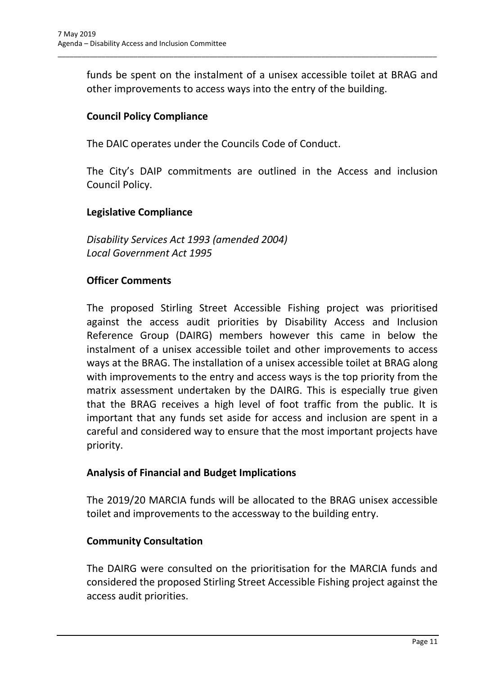funds be spent on the instalment of a unisex accessible toilet at BRAG and other improvements to access ways into the entry of the building.

\_\_\_\_\_\_\_\_\_\_\_\_\_\_\_\_\_\_\_\_\_\_\_\_\_\_\_\_\_\_\_\_\_\_\_\_\_\_\_\_\_\_\_\_\_\_\_\_\_\_\_\_\_\_\_\_\_\_\_\_\_\_\_\_\_\_\_\_\_\_\_\_\_\_\_\_\_\_\_\_\_\_\_\_\_\_\_\_\_\_\_\_\_\_\_

# **Council Policy Compliance**

The DAIC operates under the Councils Code of Conduct.

The City's DAIP commitments are outlined in the Access and inclusion Council Policy.

## **Legislative Compliance**

*Disability Services Act 1993 (amended 2004) Local Government Act 1995*

# **Officer Comments**

The proposed Stirling Street Accessible Fishing project was prioritised against the access audit priorities by Disability Access and Inclusion Reference Group (DAIRG) members however this came in below the instalment of a unisex accessible toilet and other improvements to access ways at the BRAG. The installation of a unisex accessible toilet at BRAG along with improvements to the entry and access ways is the top priority from the matrix assessment undertaken by the DAIRG. This is especially true given that the BRAG receives a high level of foot traffic from the public. It is important that any funds set aside for access and inclusion are spent in a careful and considered way to ensure that the most important projects have priority.

## **Analysis of Financial and Budget Implications**

The 2019/20 MARCIA funds will be allocated to the BRAG unisex accessible toilet and improvements to the accessway to the building entry.

## **Community Consultation**

The DAIRG were consulted on the prioritisation for the MARCIA funds and considered the proposed Stirling Street Accessible Fishing project against the access audit priorities.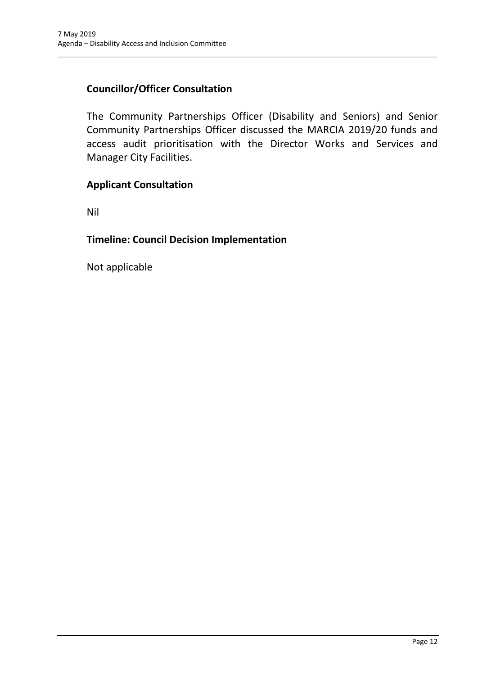# **Councillor/Officer Consultation**

The Community Partnerships Officer (Disability and Seniors) and Senior Community Partnerships Officer discussed the MARCIA 2019/20 funds and access audit prioritisation with the Director Works and Services and Manager City Facilities.

\_\_\_\_\_\_\_\_\_\_\_\_\_\_\_\_\_\_\_\_\_\_\_\_\_\_\_\_\_\_\_\_\_\_\_\_\_\_\_\_\_\_\_\_\_\_\_\_\_\_\_\_\_\_\_\_\_\_\_\_\_\_\_\_\_\_\_\_\_\_\_\_\_\_\_\_\_\_\_\_\_\_\_\_\_\_\_\_\_\_\_\_\_\_\_

#### **Applicant Consultation**

Nil

#### **Timeline: Council Decision Implementation**

Not applicable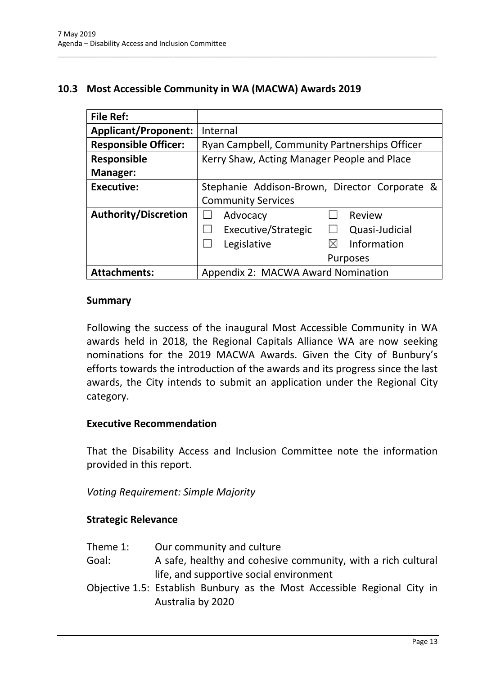## <span id="page-14-0"></span>**10.3 Most Accessible Community in WA (MACWA) Awards 2019**

\_\_\_\_\_\_\_\_\_\_\_\_\_\_\_\_\_\_\_\_\_\_\_\_\_\_\_\_\_\_\_\_\_\_\_\_\_\_\_\_\_\_\_\_\_\_\_\_\_\_\_\_\_\_\_\_\_\_\_\_\_\_\_\_\_\_\_\_\_\_\_\_\_\_\_\_\_\_\_\_\_\_\_\_\_\_\_\_\_\_\_\_\_\_\_

| <b>File Ref:</b>            |                                               |
|-----------------------------|-----------------------------------------------|
| <b>Applicant/Proponent:</b> | Internal                                      |
| <b>Responsible Officer:</b> | Ryan Campbell, Community Partnerships Officer |
| Responsible                 | Kerry Shaw, Acting Manager People and Place   |
| <b>Manager:</b>             |                                               |
| <b>Executive:</b>           | Stephanie Addison-Brown, Director Corporate & |
|                             | <b>Community Services</b>                     |
| <b>Authority/Discretion</b> | Review<br>Advocacy                            |
|                             | Executive/Strategic<br>Quasi-Judicial         |
|                             | Information<br>Legislative<br>$\boxtimes$     |
|                             | <b>Purposes</b>                               |
| <b>Attachments:</b>         | Appendix 2: MACWA Award Nomination            |

#### **Summary**

Following the success of the inaugural Most Accessible Community in WA awards held in 2018, the Regional Capitals Alliance WA are now seeking nominations for the 2019 MACWA Awards. Given the City of Bunbury's efforts towards the introduction of the awards and its progress since the last awards, the City intends to submit an application under the Regional City category.

#### **Executive Recommendation**

That the Disability Access and Inclusion Committee note the information provided in this report.

*Voting Requirement: Simple Majority* 

#### **Strategic Relevance**

- Goal: A safe, healthy and cohesive community, with a rich cultural life, and supportive social environment
- Objective 1.5: Establish Bunbury as the Most Accessible Regional City in Australia by 2020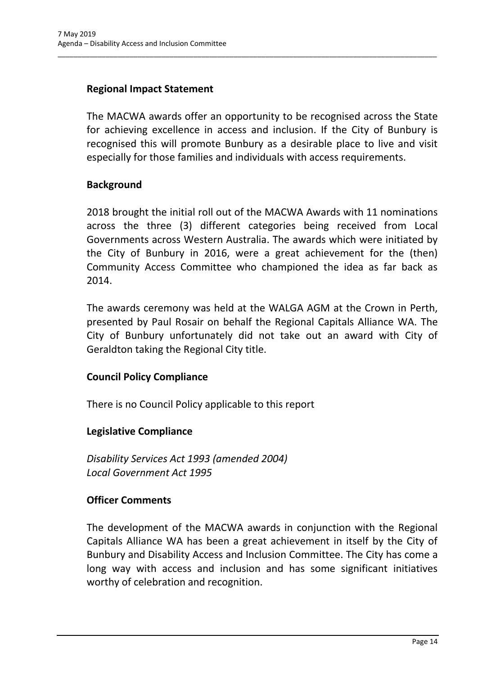# **Regional Impact Statement**

The MACWA awards offer an opportunity to be recognised across the State for achieving excellence in access and inclusion. If the City of Bunbury is recognised this will promote Bunbury as a desirable place to live and visit especially for those families and individuals with access requirements.

\_\_\_\_\_\_\_\_\_\_\_\_\_\_\_\_\_\_\_\_\_\_\_\_\_\_\_\_\_\_\_\_\_\_\_\_\_\_\_\_\_\_\_\_\_\_\_\_\_\_\_\_\_\_\_\_\_\_\_\_\_\_\_\_\_\_\_\_\_\_\_\_\_\_\_\_\_\_\_\_\_\_\_\_\_\_\_\_\_\_\_\_\_\_\_

## **Background**

2018 brought the initial roll out of the MACWA Awards with 11 nominations across the three (3) different categories being received from Local Governments across Western Australia. The awards which were initiated by the City of Bunbury in 2016, were a great achievement for the (then) Community Access Committee who championed the idea as far back as 2014.

The awards ceremony was held at the WALGA AGM at the Crown in Perth, presented by Paul Rosair on behalf the Regional Capitals Alliance WA. The City of Bunbury unfortunately did not take out an award with City of Geraldton taking the Regional City title.

## **Council Policy Compliance**

There is no Council Policy applicable to this report

## **Legislative Compliance**

*Disability Services Act 1993 (amended 2004) Local Government Act 1995*

## **Officer Comments**

The development of the MACWA awards in conjunction with the Regional Capitals Alliance WA has been a great achievement in itself by the City of Bunbury and Disability Access and Inclusion Committee. The City has come a long way with access and inclusion and has some significant initiatives worthy of celebration and recognition.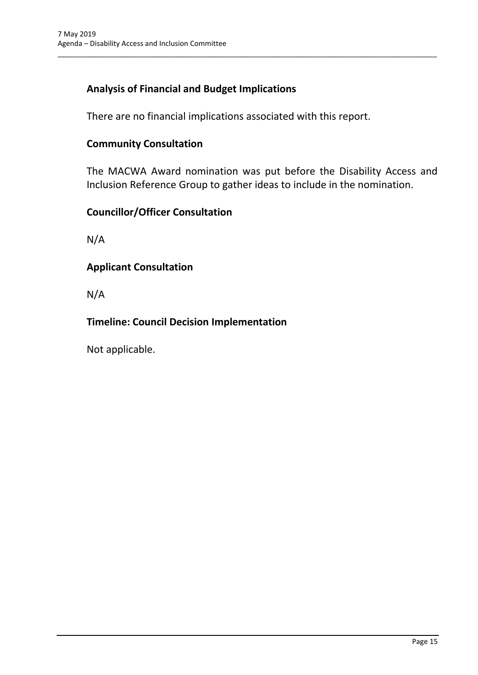# **Analysis of Financial and Budget Implications**

There are no financial implications associated with this report.

\_\_\_\_\_\_\_\_\_\_\_\_\_\_\_\_\_\_\_\_\_\_\_\_\_\_\_\_\_\_\_\_\_\_\_\_\_\_\_\_\_\_\_\_\_\_\_\_\_\_\_\_\_\_\_\_\_\_\_\_\_\_\_\_\_\_\_\_\_\_\_\_\_\_\_\_\_\_\_\_\_\_\_\_\_\_\_\_\_\_\_\_\_\_\_

#### **Community Consultation**

The MACWA Award nomination was put before the Disability Access and Inclusion Reference Group to gather ideas to include in the nomination.

#### **Councillor/Officer Consultation**

N/A

#### **Applicant Consultation**

N/A

# **Timeline: Council Decision Implementation**

Not applicable.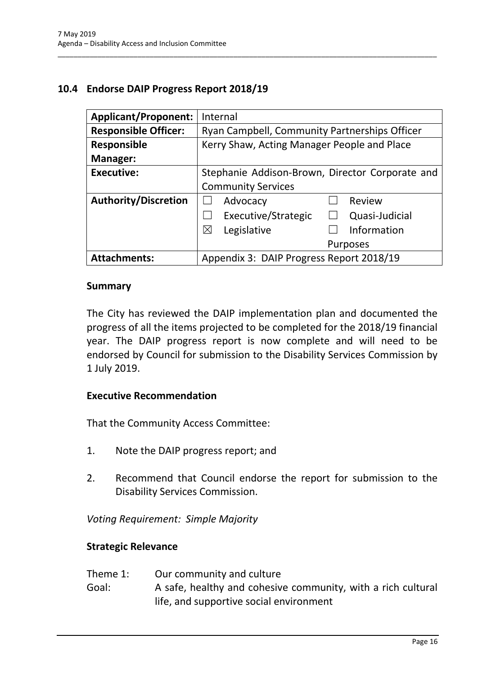# <span id="page-17-0"></span>**10.4 Endorse DAIP Progress Report 2018/19**

| <b>Applicant/Proponent:</b> | Internal                                        |  |  |
|-----------------------------|-------------------------------------------------|--|--|
| <b>Responsible Officer:</b> | Ryan Campbell, Community Partnerships Officer   |  |  |
| <b>Responsible</b>          | Kerry Shaw, Acting Manager People and Place     |  |  |
| Manager:                    |                                                 |  |  |
| <b>Executive:</b>           | Stephanie Addison-Brown, Director Corporate and |  |  |
|                             | <b>Community Services</b>                       |  |  |
| <b>Authority/Discretion</b> | Advocacy<br>Review                              |  |  |
|                             | Executive/Strategic<br>Quasi-Judicial           |  |  |
|                             | Information<br>⊠<br>Legislative                 |  |  |
|                             | <b>Purposes</b>                                 |  |  |
| <b>Attachments:</b>         | Appendix 3: DAIP Progress Report 2018/19        |  |  |

\_\_\_\_\_\_\_\_\_\_\_\_\_\_\_\_\_\_\_\_\_\_\_\_\_\_\_\_\_\_\_\_\_\_\_\_\_\_\_\_\_\_\_\_\_\_\_\_\_\_\_\_\_\_\_\_\_\_\_\_\_\_\_\_\_\_\_\_\_\_\_\_\_\_\_\_\_\_\_\_\_\_\_\_\_\_\_\_\_\_\_\_\_\_\_

#### **Summary**

The City has reviewed the DAIP implementation plan and documented the progress of all the items projected to be completed for the 2018/19 financial year. The DAIP progress report is now complete and will need to be endorsed by Council for submission to the Disability Services Commission by 1 July 2019.

#### **Executive Recommendation**

That the Community Access Committee:

- 1. Note the DAIP progress report; and
- 2. Recommend that Council endorse the report for submission to the Disability Services Commission.

*Voting Requirement: Simple Majority* 

#### **Strategic Relevance**

- Theme 1: Our community and culture
- Goal: A safe, healthy and cohesive community, with a rich cultural life, and supportive social environment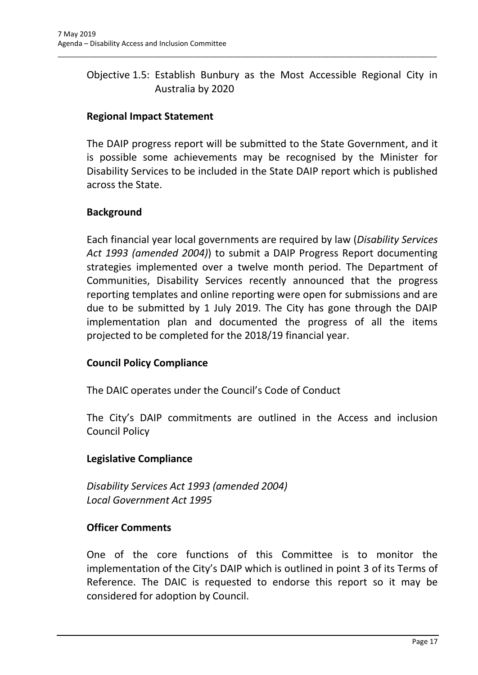# Objective 1.5: Establish Bunbury as the Most Accessible Regional City in Australia by 2020

\_\_\_\_\_\_\_\_\_\_\_\_\_\_\_\_\_\_\_\_\_\_\_\_\_\_\_\_\_\_\_\_\_\_\_\_\_\_\_\_\_\_\_\_\_\_\_\_\_\_\_\_\_\_\_\_\_\_\_\_\_\_\_\_\_\_\_\_\_\_\_\_\_\_\_\_\_\_\_\_\_\_\_\_\_\_\_\_\_\_\_\_\_\_\_

# **Regional Impact Statement**

The DAIP progress report will be submitted to the State Government, and it is possible some achievements may be recognised by the Minister for Disability Services to be included in the State DAIP report which is published across the State.

#### **Background**

Each financial year local governments are required by law (*Disability Services Act 1993 (amended 2004)*) to submit a DAIP Progress Report documenting strategies implemented over a twelve month period. The Department of Communities, Disability Services recently announced that the progress reporting templates and online reporting were open for submissions and are due to be submitted by 1 July 2019. The City has gone through the DAIP implementation plan and documented the progress of all the items projected to be completed for the 2018/19 financial year.

## **Council Policy Compliance**

The DAIC operates under the Council's Code of Conduct

The City's DAIP commitments are outlined in the Access and inclusion Council Policy

## **Legislative Compliance**

*Disability Services Act 1993 (amended 2004) Local Government Act 1995*

## **Officer Comments**

One of the core functions of this Committee is to monitor the implementation of the City's DAIP which is outlined in point 3 of its Terms of Reference. The DAIC is requested to endorse this report so it may be considered for adoption by Council.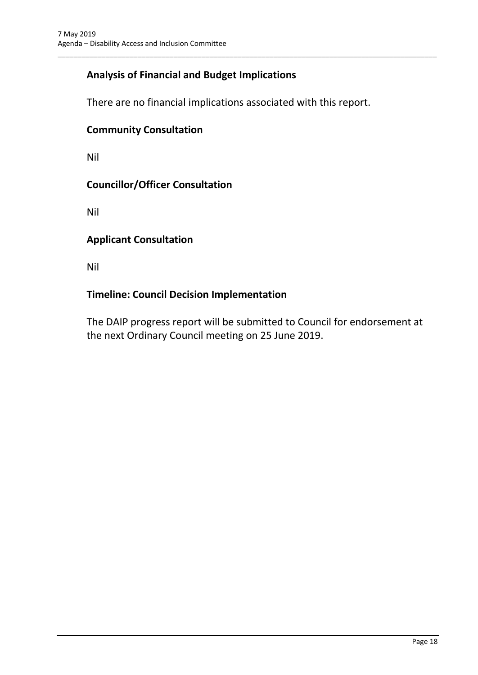# **Analysis of Financial and Budget Implications**

There are no financial implications associated with this report.

\_\_\_\_\_\_\_\_\_\_\_\_\_\_\_\_\_\_\_\_\_\_\_\_\_\_\_\_\_\_\_\_\_\_\_\_\_\_\_\_\_\_\_\_\_\_\_\_\_\_\_\_\_\_\_\_\_\_\_\_\_\_\_\_\_\_\_\_\_\_\_\_\_\_\_\_\_\_\_\_\_\_\_\_\_\_\_\_\_\_\_\_\_\_\_

#### **Community Consultation**

Nil

#### **Councillor/Officer Consultation**

Nil

#### **Applicant Consultation**

Nil

#### **Timeline: Council Decision Implementation**

The DAIP progress report will be submitted to Council for endorsement at the next Ordinary Council meeting on 25 June 2019.